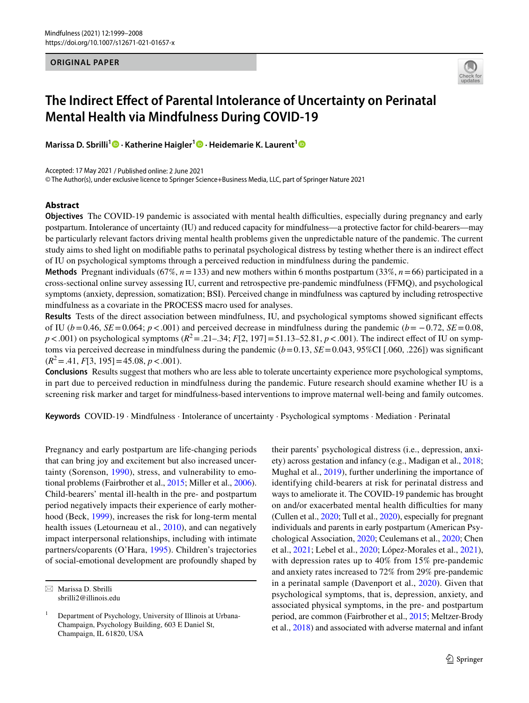#### **ORIGINAL PAPER**



# **The Indirect Efect of Parental Intolerance of Uncertainty on Perinatal Mental Health via Mindfulness During COVID‑19**

**Marissa D. Sbrilli1 · Katherine Haigler1 · Heidemarie K. Laurent[1](http://orcid.org/0000-0002-7502-8900)**

Accepted: 17 May 2021 / Published online: 2 June 2021

© The Author(s), under exclusive licence to Springer Science+Business Media, LLC, part of Springer Nature 2021

# **Abstract**

**Objectives** The COVID-19 pandemic is associated with mental health difficulties, especially during pregnancy and early postpartum. Intolerance of uncertainty (IU) and reduced capacity for mindfulness—a protective factor for child-bearers—may be particularly relevant factors driving mental health problems given the unpredictable nature of the pandemic. The current study aims to shed light on modifable paths to perinatal psychological distress by testing whether there is an indirect efect of IU on psychological symptoms through a perceived reduction in mindfulness during the pandemic.

**Methods** Pregnant individuals (67%,  $n = 133$ ) and new mothers within 6 months postpartum (33%,  $n = 66$ ) participated in a cross-sectional online survey assessing IU, current and retrospective pre-pandemic mindfulness (FFMQ), and psychological symptoms (anxiety, depression, somatization; BSI). Perceived change in mindfulness was captured by including retrospective mindfulness as a covariate in the PROCESS macro used for analyses.

**Results** Tests of the direct association between mindfulness, IU, and psychological symptoms showed signifcant efects of IU ( $b=0.46$ ,  $SE=0.064$ ;  $p < .001$ ) and perceived decrease in mindfulness during the pandemic ( $b=-0.72$ ,  $SE=0.08$ ,  $p < .001$ ) on psychological symptoms  $(R^2 = .21-.34; F[2, 197] = 51.13-52.81, p < .001)$ . The indirect effect of IU on symptoms via perceived decrease in mindfulness during the pandemic  $(b=0.13, SE=0.043, 95\%CI$  [.060, .226]) was significant  $(R^2 = .41, F[3, 195] = 45.08, p < .001).$ 

**Conclusions** Results suggest that mothers who are less able to tolerate uncertainty experience more psychological symptoms, in part due to perceived reduction in mindfulness during the pandemic. Future research should examine whether IU is a screening risk marker and target for mindfulness-based interventions to improve maternal well-being and family outcomes.

**Keywords** COVID-19 · Mindfulness · Intolerance of uncertainty · Psychological symptoms · Mediation · Perinatal

Pregnancy and early postpartum are life-changing periods that can bring joy and excitement but also increased uncertainty (Sorenson, [1990\)](#page-9-0), stress, and vulnerability to emotional problems (Fairbrother et al., [2015](#page-7-0); Miller et al., [2006](#page-8-0)). Child-bearers' mental ill-health in the pre- and postpartum period negatively impacts their experience of early motherhood (Beck, [1999](#page-7-1)), increases the risk for long-term mental health issues (Letourneau et al., [2010](#page-8-1)), and can negatively impact interpersonal relationships, including with intimate partners/coparents (O'Hara, [1995](#page-9-1)). Children's trajectories of social-emotional development are profoundly shaped by

their parents' psychological distress (i.e., depression, anxiety) across gestation and infancy (e.g., Madigan et al., [2018](#page-8-2); Mughal et al., [2019\)](#page-8-3), further underlining the importance of identifying child-bearers at risk for perinatal distress and ways to ameliorate it. The COVID-19 pandemic has brought on and/or exacerbated mental health difficulties for many (Cullen et al., [2020](#page-7-2); Tull et al., [2020](#page-9-2)), especially for pregnant individuals and parents in early postpartum (American Psychological Association, [2020](#page-6-0); Ceulemans et al., [2020;](#page-7-3) Chen et al., [2021](#page-7-4); Lebel et al., [2020](#page-8-4); López-Morales et al., [2021](#page-8-5)), with depression rates up to 40% from 15% pre-pandemic and anxiety rates increased to 72% from 29% pre-pandemic in a perinatal sample (Davenport et al., [2020\)](#page-7-5). Given that psychological symptoms, that is, depression, anxiety, and associated physical symptoms, in the pre- and postpartum period, are common (Fairbrother et al., [2015;](#page-7-0) Meltzer-Brody et al., [2018\)](#page-8-6) and associated with adverse maternal and infant

 $\boxtimes$  Marissa D. Sbrilli sbrilli2@illinois.edu

<sup>1</sup> Department of Psychology, University of Illinois at Urbana-Champaign, Psychology Building, 603 E Daniel St, Champaign, IL 61820, USA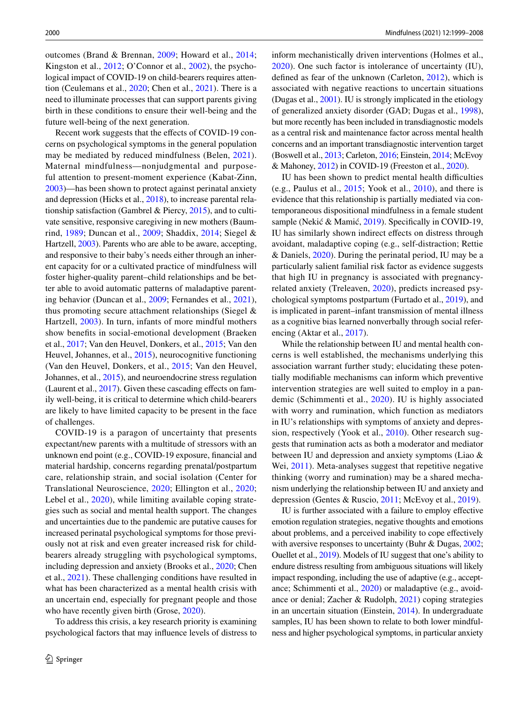outcomes (Brand & Brennan, [2009;](#page-7-6) Howard et al., [2014](#page-8-7); Kingston et al., [2012](#page-8-8); O'Connor et al., [2002\)](#page-9-3), the psychological impact of COVID-19 on child-bearers requires attention (Ceulemans et al., [2020;](#page-7-3) Chen et al., [2021](#page-7-4)). There is a need to illuminate processes that can support parents giving birth in these conditions to ensure their well-being and the future well-being of the next generation.

Recent work suggests that the efects of COVID-19 concerns on psychological symptoms in the general population may be mediated by reduced mindfulness (Belen, [2021](#page-7-7)). Maternal mindfulness—nonjudgmental and purposeful attention to present-moment experience (Kabat-Zinn, [2003](#page-8-9))—has been shown to protect against perinatal anxiety and depression (Hicks et al., [2018](#page-8-10)), to increase parental relationship satisfaction (Gambrel & Piercy, [2015](#page-7-8)), and to cultivate sensitive, responsive caregiving in new mothers (Baumrind, [1989;](#page-6-1) Duncan et al., [2009](#page-7-9); Shaddix, [2014;](#page-9-4) Siegel & Hartzell, [2003\)](#page-9-5). Parents who are able to be aware, accepting, and responsive to their baby's needs either through an inherent capacity for or a cultivated practice of mindfulness will foster higher-quality parent–child relationships and be better able to avoid automatic patterns of maladaptive parenting behavior (Duncan et al., [2009;](#page-7-9) Fernandes et al., [2021](#page-7-10)), thus promoting secure attachment relationships (Siegel & Hartzell, [2003\)](#page-9-5). In turn, infants of more mindful mothers show benefts in social-emotional development (Braeken et al., [2017](#page-7-11); Van den Heuvel, Donkers, et al., [2015](#page-9-6); Van den Heuvel, Johannes, et al., [2015](#page-9-7)), neurocognitive functioning (Van den Heuvel, Donkers, et al., [2015](#page-9-6); Van den Heuvel, Johannes, et al., [2015\)](#page-9-7), and neuroendocrine stress regulation (Laurent et al., [2017](#page-8-11)). Given these cascading effects on family well-being, it is critical to determine which child-bearers are likely to have limited capacity to be present in the face of challenges.

COVID-19 is a paragon of uncertainty that presents expectant/new parents with a multitude of stressors with an unknown end point (e.g., COVID-19 exposure, fnancial and material hardship, concerns regarding prenatal/postpartum care, relationship strain, and social isolation (Center for Translational Neuroscience, [2020](#page-7-12); Ellington et al., [2020](#page-7-13); Lebel et al., [2020](#page-8-4)), while limiting available coping strategies such as social and mental health support. The changes and uncertainties due to the pandemic are putative causes for increased perinatal psychological symptoms for those previously not at risk and even greater increased risk for childbearers already struggling with psychological symptoms, including depression and anxiety (Brooks et al., [2020](#page-7-14); Chen et al., [2021](#page-7-4)). These challenging conditions have resulted in what has been characterized as a mental health crisis with an uncertain end, especially for pregnant people and those who have recently given birth (Grose, [2020\)](#page-8-12).

To address this crisis, a key research priority is examining psychological factors that may infuence levels of distress to inform mechanistically driven interventions (Holmes et al., [2020\)](#page-8-13). One such factor is intolerance of uncertainty (IU), defned as fear of the unknown (Carleton, [2012\)](#page-7-15), which is associated with negative reactions to uncertain situations (Dugas et al., [2001](#page-7-16)). IU is strongly implicated in the etiology of generalized anxiety disorder (GAD; Dugas et al., [1998](#page-7-17)), but more recently has been included in transdiagnostic models as a central risk and maintenance factor across mental health concerns and an important transdiagnostic intervention target (Boswell et al., [2013;](#page-7-18) Carleton, [2016](#page-7-19); Einstein, [2014](#page-7-20); McEvoy & Mahoney, [2012](#page-8-14)) in COVID-19 (Freeston et al., [2020\)](#page-7-21).

IU has been shown to predict mental health difficulties (e.g., Paulus et al., [2015](#page-9-8); Yook et al., [2010](#page-9-9)), and there is evidence that this relationship is partially mediated via contemporaneous dispositional mindfulness in a female student sample (Nekić & Mamić, [2019](#page-9-10)). Specifically in COVID-19, IU has similarly shown indirect efects on distress through avoidant, maladaptive coping (e.g., self-distraction; Rettie & Daniels, [2020](#page-9-11)). During the perinatal period, IU may be a particularly salient familial risk factor as evidence suggests that high IU in pregnancy is associated with pregnancyrelated anxiety (Treleaven, [2020](#page-9-12)), predicts increased psychological symptoms postpartum (Furtado et al., [2019\)](#page-7-22), and is implicated in parent–infant transmission of mental illness as a cognitive bias learned nonverbally through social referencing (Aktar et al., [2017](#page-6-2)).

While the relationship between IU and mental health concerns is well established, the mechanisms underlying this association warrant further study; elucidating these potentially modifable mechanisms can inform which preventive intervention strategies are well suited to employ in a pandemic (Schimmenti et al., [2020\)](#page-9-13). IU is highly associated with worry and rumination, which function as mediators in IU's relationships with symptoms of anxiety and depression, respectively (Yook et al., [2010\)](#page-9-9). Other research suggests that rumination acts as both a moderator and mediator between IU and depression and anxiety symptoms (Liao & Wei, [2011](#page-8-15)). Meta-analyses suggest that repetitive negative thinking (worry and rumination) may be a shared mechanism underlying the relationship between IU and anxiety and depression (Gentes & Ruscio, [2011](#page-7-23); McEvoy et al., [2019\)](#page-8-16).

IU is further associated with a failure to employ efective emotion regulation strategies, negative thoughts and emotions about problems, and a perceived inability to cope effectively with aversive responses to uncertainty (Buhr & Dugas, [2002](#page-7-24); Ouellet et al., [2019\)](#page-9-14). Models of IU suggest that one's ability to endure distress resulting from ambiguous situations will likely impact responding, including the use of adaptive (e.g., acceptance; Schimmenti et al., [2020\)](#page-9-13) or maladaptive (e.g., avoidance or denial; Zacher & Rudolph, [2021\)](#page-9-15) coping strategies in an uncertain situation (Einstein, [2014\)](#page-7-20). In undergraduate samples, IU has been shown to relate to both lower mindfulness and higher psychological symptoms, in particular anxiety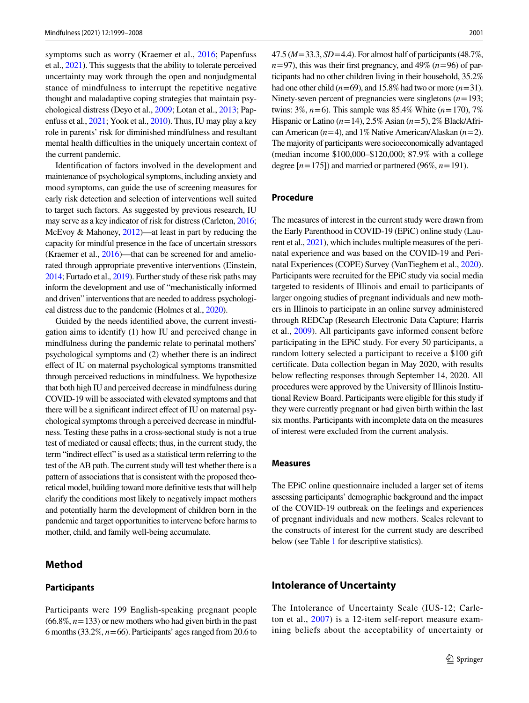symptoms such as worry (Kraemer et al., [2016;](#page-8-17) Papenfuss et al., [2021\)](#page-9-16). This suggests that the ability to tolerate perceived uncertainty may work through the open and nonjudgmental stance of mindfulness to interrupt the repetitive negative thought and maladaptive coping strategies that maintain psychological distress (Deyo et al., [2009;](#page-7-25) Lotan et al., [2013](#page-8-18); Papenfuss et al., [2021](#page-9-16); Yook et al., [2010\)](#page-9-9). Thus, IU may play a key role in parents' risk for diminished mindfulness and resultant mental health difficulties in the uniquely uncertain context of the current pandemic.

Identifcation of factors involved in the development and maintenance of psychological symptoms, including anxiety and mood symptoms, can guide the use of screening measures for early risk detection and selection of interventions well suited to target such factors. As suggested by previous research, IU may serve as a key indicator of risk for distress (Carleton, [2016](#page-7-19); McEvoy & Mahoney, [2012\)](#page-8-14)—at least in part by reducing the capacity for mindful presence in the face of uncertain stressors (Kraemer et al., [2016](#page-8-17))—that can be screened for and ameliorated through appropriate preventive interventions (Einstein, [2014;](#page-7-20) Furtado et al., [2019\)](#page-7-22). Further study of these risk paths may inform the development and use of "mechanistically informed and driven" interventions that are needed to address psychological distress due to the pandemic (Holmes et al., [2020](#page-8-13)).

Guided by the needs identifed above, the current investigation aims to identify (1) how IU and perceived change in mindfulness during the pandemic relate to perinatal mothers' psychological symptoms and (2) whether there is an indirect efect of IU on maternal psychological symptoms transmitted through perceived reductions in mindfulness. We hypothesize that both high IU and perceived decrease in mindfulness during COVID-19 will be associated with elevated symptoms and that there will be a signifcant indirect efect of IU on maternal psychological symptoms through a perceived decrease in mindfulness. Testing these paths in a cross-sectional study is not a true test of mediated or causal efects; thus, in the current study, the term "indirect effect" is used as a statistical term referring to the test of the AB path. The current study will test whether there is a pattern of associations that is consistent with the proposed theoretical model, building toward more defnitive tests that will help clarify the conditions most likely to negatively impact mothers and potentially harm the development of children born in the pandemic and target opportunities to intervene before harms to mother, child, and family well-being accumulate.

## **Method**

#### **Participants**

Participants were 199 English-speaking pregnant people (66.8%, *n*=133) or new mothers who had given birth in the past 6 months (33.2%, *n*=66). Participants' ages ranged from 20.6 to

47.5 (*M*=33.3, *SD*=4.4). For almost half of participants (48.7%,  $n=97$ ), this was their first pregnancy, and 49% ( $n=96$ ) of participants had no other children living in their household, 35.2% had one other child  $(n=69)$ , and 15.8% had two or more  $(n=31)$ . Ninety-seven percent of pregnancies were singletons (*n*=193; twins: 3%, *n*=6). This sample was 85.4% White (*n*=170), 7% Hispanic or Latino (*n*=14), 2.5% Asian (*n*=5), 2% Black/African American (*n*=4), and 1% Native American/Alaskan (*n*=2). The majority of participants were socioeconomically advantaged (median income \$100,000–\$120,000; 87.9% with a college degree  $[n=175]$ ) and married or partnered (96%,  $n=191$ ).

#### **Procedure**

The measures of interest in the current study were drawn from the Early Parenthood in COVID-19 (EPiC) online study (Laurent et al., [2021](#page-8-19)), which includes multiple measures of the perinatal experience and was based on the COVID-19 and Perinatal Experiences (COPE) Survey (VanTieghem et al., [2020\)](#page-9-17). Participants were recruited for the EPiC study via social media targeted to residents of Illinois and email to participants of larger ongoing studies of pregnant individuals and new mothers in Illinois to participate in an online survey administered through REDCap (Research Electronic Data Capture; Harris et al., [2009](#page-8-20)). All participants gave informed consent before participating in the EPiC study. For every 50 participants, a random lottery selected a participant to receive a \$100 gift certifcate. Data collection began in May 2020, with results below refecting responses through September 14, 2020. All procedures were approved by the University of Illinois Institutional Review Board. Participants were eligible for this study if they were currently pregnant or had given birth within the last six months. Participants with incomplete data on the measures of interest were excluded from the current analysis.

#### **Measures**

The EPiC online questionnaire included a larger set of items assessing participants' demographic background and the impact of the COVID-19 outbreak on the feelings and experiences of pregnant individuals and new mothers. Scales relevant to the constructs of interest for the current study are described below (see Table [1](#page-3-0) for descriptive statistics).

## **Intolerance of Uncertainty**

The Intolerance of Uncertainty Scale (IUS-12; Carleton et al., [2007](#page-7-26)) is a 12-item self-report measure examining beliefs about the acceptability of uncertainty or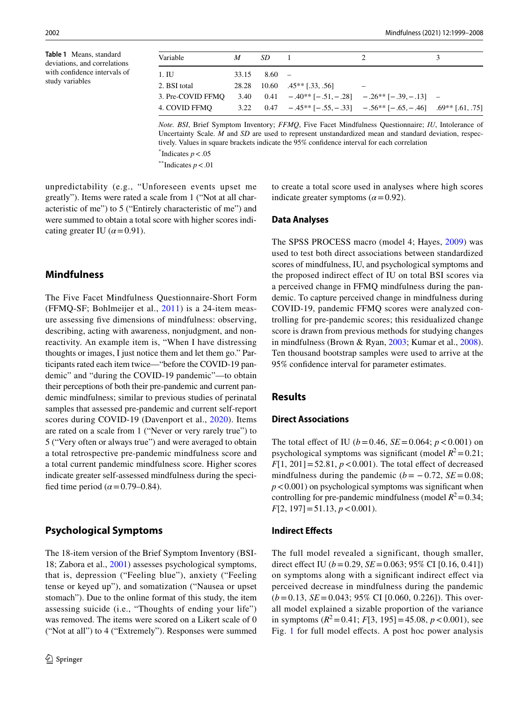<span id="page-3-0"></span>**Table 1** Means, standard deviations, and correlations with confdence intervals of study variables

| Variable          | M | SD                |                                                                                  |  |
|-------------------|---|-------------------|----------------------------------------------------------------------------------|--|
| 1. IU             |   | $33.15 \t 8.60 -$ |                                                                                  |  |
| 2. BSI total      |   |                   | 28.28 10.60 .45 <sup>**</sup> [.33, .56]                                         |  |
| 3. Pre-COVID FFMO |   |                   | 3.40 $0.41 - .40^{**}[-.51, -.28] - .26^{**}[-.39, -.13] -$                      |  |
| 4. COVID FFMO     |   |                   | 3.22 $0.47 - .45^{**}[-.55, -.33] - .56^{**}[-.65, -.46]$ $0.69^{**}[-.61, .75]$ |  |
|                   |   |                   |                                                                                  |  |

*Note. BSI*, Brief Symptom Inventory; *FFMQ*, Five Facet Mindfulness Questionnaire; *IU*, Intolerance of Uncertainty Scale. *M* and *SD* are used to represent unstandardized mean and standard deviation, respectively. Values in square brackets indicate the 95% confdence interval for each correlation

indicate greater symptoms  $(\alpha = 0.92)$ .

 $*$ Indicates  $p < .05$ 

\*\*Indicates  $p < .01$ 

unpredictability (e.g., "Unforeseen events upset me greatly"). Items were rated a scale from 1 ("Not at all characteristic of me") to 5 ("Entirely characteristic of me") and were summed to obtain a total score with higher scores indicating greater IU  $(\alpha = 0.91)$ .

## **Mindfulness**

The Five Facet Mindfulness Questionnaire-Short Form (FFMQ-SF; Bohlmeijer et al., [2011\)](#page-7-27) is a 24-item measure assessing fve dimensions of mindfulness: observing, describing, acting with awareness, nonjudgment, and nonreactivity. An example item is, "When I have distressing thoughts or images, I just notice them and let them go." Participants rated each item twice—"before the COVID-19 pandemic" and "during the COVID-19 pandemic"—to obtain their perceptions of both their pre-pandemic and current pandemic mindfulness; similar to previous studies of perinatal samples that assessed pre-pandemic and current self-report scores during COVID-19 (Davenport et al., [2020](#page-7-5)). Items are rated on a scale from 1 ("Never or very rarely true") to 5 ("Very often or always true") and were averaged to obtain a total retrospective pre-pandemic mindfulness score and a total current pandemic mindfulness score. Higher scores indicate greater self-assessed mindfulness during the specified time period  $(\alpha = 0.79 - 0.84)$ .

## **Psychological Symptoms**

The 18-item version of the Brief Symptom Inventory (BSI-18; Zabora et al., [2001\)](#page-9-18) assesses psychological symptoms, that is, depression ("Feeling blue"), anxiety ("Feeling tense or keyed up"), and somatization ("Nausea or upset stomach"). Due to the online format of this study, the item assessing suicide (i.e., "Thoughts of ending your life") was removed. The items were scored on a Likert scale of 0 ("Not at all") to 4 ("Extremely"). Responses were summed to create a total score used in analyses where high scores

#### **Data Analyses**

The SPSS PROCESS macro (model 4; Hayes, [2009\)](#page-8-21) was used to test both direct associations between standardized scores of mindfulness, IU, and psychological symptoms and the proposed indirect efect of IU on total BSI scores via a perceived change in FFMQ mindfulness during the pandemic. To capture perceived change in mindfulness during COVID-19, pandemic FFMQ scores were analyzed controlling for pre-pandemic scores; this residualized change score is drawn from previous methods for studying changes in mindfulness (Brown & Ryan, [2003;](#page-7-28) Kumar et al., [2008](#page-8-22)). Ten thousand bootstrap samples were used to arrive at the 95% confdence interval for parameter estimates.

## **Results**

#### **Direct Associations**

The total effect of IU ( $b = 0.46$ ,  $SE = 0.064$ ;  $p < 0.001$ ) on psychological symptoms was significant (model  $R^2$  = 0.21;  $F[1, 201] = 52.81, p < 0.001$ . The total effect of decreased mindfulness during the pandemic  $(b = -0.72, SE = 0.08;$  $p < 0.001$ ) on psychological symptoms was significant when controlling for pre-pandemic mindfulness (model  $R^2$  = 0.34; *F*[2, 197]=51.13, *p*<0.001).

### **Indirect Efects**

The full model revealed a significant, though smaller, direct effect IU ( $b = 0.29$ , *SE* = 0.063; 95% CI [0.16, 0.41]) on symptoms along with a signifcant indirect efect via perceived decrease in mindfulness during the pandemic (*b*=0.13, *SE*=0.043; 95% CI [0.060, 0.226]). This overall model explained a sizable proportion of the variance in symptoms  $(R^2=0.41; F[3, 195] = 45.08, p < 0.001$ , see Fig. [1](#page-4-0) for full model effects. A post hoc power analysis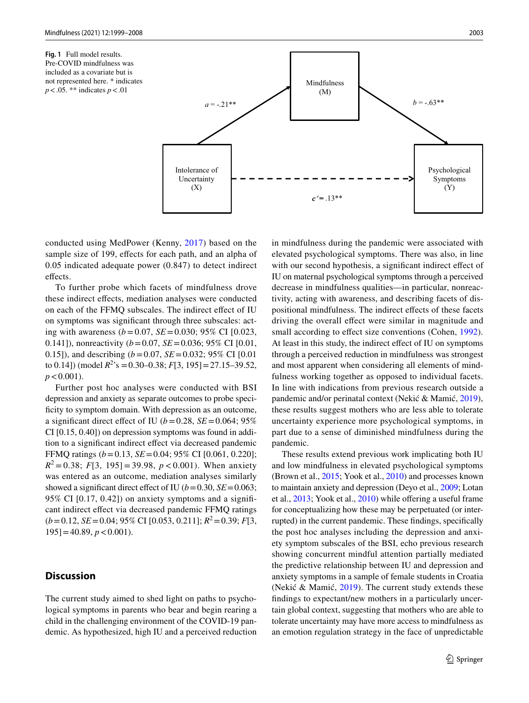<span id="page-4-0"></span>**Fig. 1** Full model results. Pre-COVID mindfulness was included as a covariate but is not represented here. \* indicates *p*<.05. \*\* indicates *p*<.01



conducted using MedPower (Kenny, [2017\)](#page-8-23) based on the sample size of 199, effects for each path, and an alpha of 0.05 indicated adequate power (0.847) to detect indirect effects.

To further probe which facets of mindfulness drove these indirect efects, mediation analyses were conducted on each of the FFMQ subscales. The indirect efect of IU on symptoms was signifcant through three subscales: acting with awareness (*b*=0.07, *SE*=0.030; 95% CI [0.023, 0.141]), nonreactivity (*b*=0.07, *SE*=0.036; 95% CI [0.01, 0.15]), and describing (*b*=0.07, *SE*=0.032; 95% CI [0.01 to 0.14]) (model  $R^2$ 's = 0.30–0.38;  $F[3, 195]$  = 27.15–39.52,  $p < 0.001$ ).

Further post hoc analyses were conducted with BSI depression and anxiety as separate outcomes to probe specificity to symptom domain. With depression as an outcome, a significant direct effect of IU ( $b = 0.28$ ,  $SE = 0.064$ ; 95% CI [0.15, 0.40]) on depression symptoms was found in addition to a signifcant indirect efect via decreased pandemic FFMQ ratings (*b*=0.13, *SE*=0.04; 95% CI [0.061, 0.220];  $R^2 = 0.38$ ; *F*[3, 195] = 39.98, *p* < 0.001). When anxiety was entered as an outcome, mediation analyses similarly showed a significant direct effect of IU ( $b = 0.30$ ,  $SE = 0.063$ ; 95% CI [0.17, 0.42]) on anxiety symptoms and a signifcant indirect efect via decreased pandemic FFMQ ratings (*b*=0.12, *SE*=0.04; 95% CI [0.053, 0.211]; *R*2=0.39; *F*[3,  $195$ ] = 40.89,  $p < 0.001$ ).

## **Discussion**

The current study aimed to shed light on paths to psychological symptoms in parents who bear and begin rearing a child in the challenging environment of the COVID-19 pandemic. As hypothesized, high IU and a perceived reduction in mindfulness during the pandemic were associated with elevated psychological symptoms. There was also, in line with our second hypothesis, a significant indirect effect of IU on maternal psychological symptoms through a perceived decrease in mindfulness qualities—in particular, nonreactivity, acting with awareness, and describing facets of dispositional mindfulness. The indirect efects of these facets driving the overall efect were similar in magnitude and small according to effect size conventions (Cohen, [1992](#page-7-29)). At least in this study, the indirect efect of IU on symptoms through a perceived reduction in mindfulness was strongest and most apparent when considering all elements of mindfulness working together as opposed to individual facets. In line with indications from previous research outside a pandemic and/or perinatal context (Nekić & Mamić, [2019](#page-9-10)), these results suggest mothers who are less able to tolerate uncertainty experience more psychological symptoms, in part due to a sense of diminished mindfulness during the pandemic.

These results extend previous work implicating both IU and low mindfulness in elevated psychological symptoms (Brown et al., [2015](#page-7-30); Yook et al., [2010\)](#page-9-9) and processes known to maintain anxiety and depression (Deyo et al., [2009;](#page-7-25) Lotan et al., [2013](#page-8-18); Yook et al., [2010](#page-9-9)) while offering a useful frame for conceptualizing how these may be perpetuated (or interrupted) in the current pandemic. These fndings, specifcally the post hoc analyses including the depression and anxiety symptom subscales of the BSI, echo previous research showing concurrent mindful attention partially mediated the predictive relationship between IU and depression and anxiety symptoms in a sample of female students in Croatia (Nekić & Mamić, [2019](#page-9-10)). The current study extends these fndings to expectant/new mothers in a particularly uncertain global context, suggesting that mothers who are able to tolerate uncertainty may have more access to mindfulness as an emotion regulation strategy in the face of unpredictable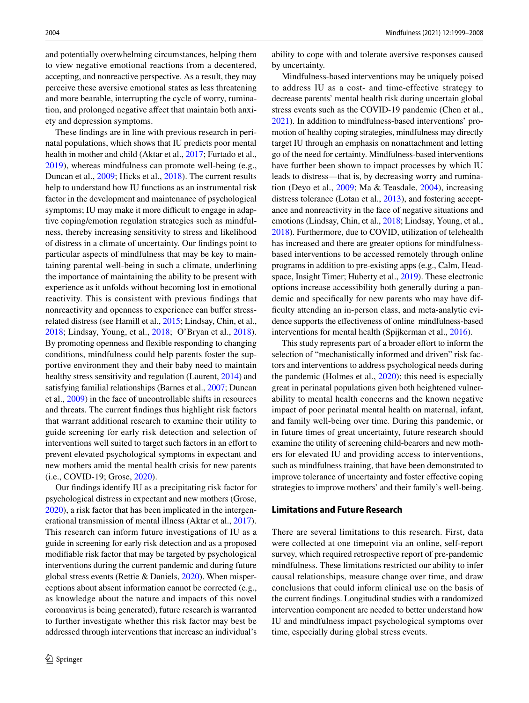and potentially overwhelming circumstances, helping them to view negative emotional reactions from a decentered, accepting, and nonreactive perspective. As a result, they may perceive these aversive emotional states as less threatening and more bearable, interrupting the cycle of worry, rumination, and prolonged negative afect that maintain both anxiety and depression symptoms.

These fndings are in line with previous research in perinatal populations, which shows that IU predicts poor mental health in mother and child (Aktar et al., [2017](#page-6-2); Furtado et al., [2019](#page-7-22)), whereas mindfulness can promote well-being (e.g., Duncan et al., [2009](#page-7-9); Hicks et al., [2018](#page-8-10)). The current results help to understand how IU functions as an instrumental risk factor in the development and maintenance of psychological symptoms; IU may make it more difficult to engage in adaptive coping/emotion regulation strategies such as mindfulness, thereby increasing sensitivity to stress and likelihood of distress in a climate of uncertainty. Our fndings point to particular aspects of mindfulness that may be key to maintaining parental well-being in such a climate, underlining the importance of maintaining the ability to be present with experience as it unfolds without becoming lost in emotional reactivity. This is consistent with previous fndings that nonreactivity and openness to experience can bufer stressrelated distress (see Hamill et al., [2015](#page-8-24); Lindsay, Chin, et al., [2018](#page-8-25); Lindsay, Young, et al., [2018](#page-8-26); O'Bryan et al., [2018](#page-9-19)). By promoting openness and fexible responding to changing conditions, mindfulness could help parents foster the supportive environment they and their baby need to maintain healthy stress sensitivity and regulation (Laurent, [2014\)](#page-8-27) and satisfying familial relationships (Barnes et al., [2007](#page-6-3); Duncan et al., [2009](#page-7-9)) in the face of uncontrollable shifts in resources and threats. The current fndings thus highlight risk factors that warrant additional research to examine their utility to guide screening for early risk detection and selection of interventions well suited to target such factors in an effort to prevent elevated psychological symptoms in expectant and new mothers amid the mental health crisis for new parents (i.e., COVID-19; Grose, [2020](#page-8-12)).

Our fndings identify IU as a precipitating risk factor for psychological distress in expectant and new mothers (Grose, [2020](#page-8-12)), a risk factor that has been implicated in the intergenerational transmission of mental illness (Aktar et al., [2017](#page-6-2)). This research can inform future investigations of IU as a guide in screening for early risk detection and as a proposed modifable risk factor that may be targeted by psychological interventions during the current pandemic and during future global stress events (Rettie & Daniels, [2020\)](#page-9-11). When misperceptions about absent information cannot be corrected (e.g., as knowledge about the nature and impacts of this novel coronavirus is being generated), future research is warranted to further investigate whether this risk factor may best be addressed through interventions that increase an individual's ability to cope with and tolerate aversive responses caused by uncertainty.

Mindfulness-based interventions may be uniquely poised to address IU as a cost- and time-effective strategy to decrease parents' mental health risk during uncertain global stress events such as the COVID-19 pandemic (Chen et al., [2021](#page-7-4)). In addition to mindfulness-based interventions' promotion of healthy coping strategies, mindfulness may directly target IU through an emphasis on nonattachment and letting go of the need for certainty. Mindfulness-based interventions have further been shown to impact processes by which IU leads to distress—that is, by decreasing worry and rumination (Deyo et al., [2009;](#page-7-25) Ma & Teasdale, [2004](#page-8-28)), increasing distress tolerance (Lotan et al., [2013\)](#page-8-18), and fostering acceptance and nonreactivity in the face of negative situations and emotions (Lindsay, Chin, et al., [2018](#page-8-25); Lindsay, Young, et al., [2018](#page-8-26)). Furthermore, due to COVID, utilization of telehealth has increased and there are greater options for mindfulnessbased interventions to be accessed remotely through online programs in addition to pre-existing apps (e.g., Calm, Headspace, Insight Timer; Huberty et al., [2019\)](#page-8-29). These electronic options increase accessibility both generally during a pandemic and specifcally for new parents who may have difficulty attending an in-person class, and meta-analytic evidence supports the efectiveness of online mindfulness-based interventions for mental health (Spijkerman et al., [2016\)](#page-9-20).

This study represents part of a broader effort to inform the selection of "mechanistically informed and driven" risk factors and interventions to address psychological needs during the pandemic (Holmes et al., [2020](#page-8-13)); this need is especially great in perinatal populations given both heightened vulnerability to mental health concerns and the known negative impact of poor perinatal mental health on maternal, infant, and family well-being over time. During this pandemic, or in future times of great uncertainty, future research should examine the utility of screening child-bearers and new mothers for elevated IU and providing access to interventions, such as mindfulness training, that have been demonstrated to improve tolerance of uncertainty and foster efective coping strategies to improve mothers' and their family's well-being.

### **Limitations and Future Research**

There are several limitations to this research. First, data were collected at one timepoint via an online, self-report survey, which required retrospective report of pre-pandemic mindfulness. These limitations restricted our ability to infer causal relationships, measure change over time, and draw conclusions that could inform clinical use on the basis of the current fndings. Longitudinal studies with a randomized intervention component are needed to better understand how IU and mindfulness impact psychological symptoms over time, especially during global stress events.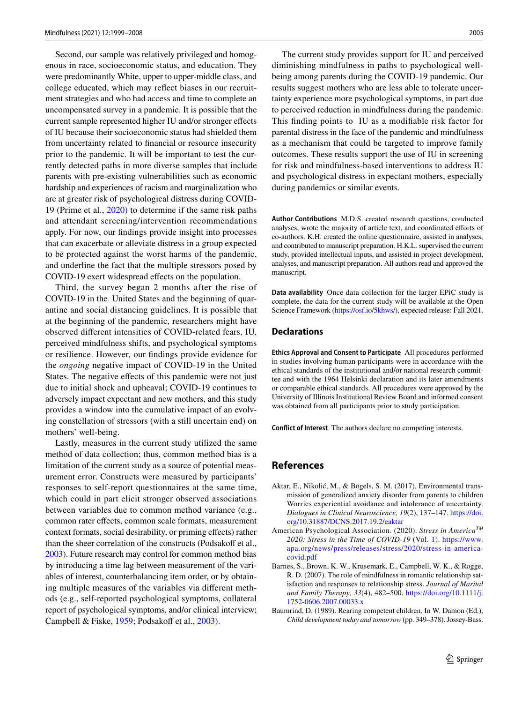Second, our sample was relatively privileged and homogenous in race, socioeconomic status, and education. They were predominantly White, upper to upper-middle class, and college educated, which may refect biases in our recruitment strategies and who had access and time to complete an uncompensated survey in a pandemic. It is possible that the current sample represented higher IU and/or stronger efects of IU because their socioeconomic status had shielded them from uncertainty related to fnancial or resource insecurity prior to the pandemic. It will be important to test the currently detected paths in more diverse samples that include parents with pre-existing vulnerabilities such as economic hardship and experiences of racism and marginalization who are at greater risk of psychological distress during COVID-19 (Prime et al., [2020\)](#page-9-21) to determine if the same risk paths and attendant screening/intervention recommendations apply. For now, our fndings provide insight into processes that can exacerbate or alleviate distress in a group expected to be protected against the worst harms of the pandemic, and underline the fact that the multiple stressors posed by COVID-19 exert widespread efects on the population.

Third, the survey began 2 months after the rise of COVID-19 in the United States and the beginning of quarantine and social distancing guidelines. It is possible that at the beginning of the pandemic, researchers might have observed diferent intensities of COVID-related fears, IU, perceived mindfulness shifts, and psychological symptoms or resilience. However, our fndings provide evidence for the *ongoing* negative impact of COVID-19 in the United States. The negative effects of this pandemic were not just due to initial shock and upheaval; COVID-19 continues to adversely impact expectant and new mothers, and this study provides a window into the cumulative impact of an evolving constellation of stressors (with a still uncertain end) on mothers' well-being.

Lastly, measures in the current study utilized the same method of data collection; thus, common method bias is a limitation of the current study as a source of potential measurement error. Constructs were measured by participants' responses to self-report questionnaires at the same time, which could in part elicit stronger observed associations between variables due to common method variance (e.g., common rater efects, common scale formats, measurement context formats, social desirability, or priming effects) rather than the sheer correlation of the constructs (Podsakoff et al., [2003\)](#page-9-22). Future research may control for common method bias by introducing a time lag between measurement of the variables of interest, counterbalancing item order, or by obtaining multiple measures of the variables via diferent methods (e.g., self-reported psychological symptoms, collateral report of psychological symptoms, and/or clinical interview; Campbell & Fiske, [1959;](#page-7-31) Podsakoff et al., [2003](#page-9-22)).

The current study provides support for IU and perceived diminishing mindfulness in paths to psychological wellbeing among parents during the COVID-19 pandemic. Our results suggest mothers who are less able to tolerate uncertainty experience more psychological symptoms, in part due to perceived reduction in mindfulness during the pandemic. This fnding points to IU as a modifable risk factor for parental distress in the face of the pandemic and mindfulness as a mechanism that could be targeted to improve family outcomes. These results support the use of IU in screening for risk and mindfulness-based interventions to address IU and psychological distress in expectant mothers, especially during pandemics or similar events.

**Author Contributions** M.D.S. created research questions, conducted analyses, wrote the majority of article text, and coordinated eforts of co-authors. K.H. created the online questionnaire, assisted in analyses, and contributed to manuscript preparation. H.K.L. supervised the current study, provided intellectual inputs, and assisted in project development, analyses, and manuscript preparation. All authors read and approved the manuscript.

**Data availability** Once data collection for the larger EPiC study is complete, the data for the current study will be available at the Open Science Framework [\(https://osf.io/5khws/](https://osf.io/5khws/)), expected release: Fall 2021.

#### **Declarations**

**Ethics Approval and Consent to Participate** All procedures performed in studies involving human participants were in accordance with the ethical standards of the institutional and/or national research committee and with the 1964 Helsinki declaration and its later amendments or comparable ethical standards. All procedures were approved by the University of Illinois Institutional Review Board and informed consent was obtained from all participants prior to study participation.

**Conflict of Interest** The authors declare no competing interests.

## **References**

- <span id="page-6-2"></span>Aktar, E., Nikolić, M., & Bögels, S. M. (2017). Environmental transmission of generalized anxiety disorder from parents to children Worries experiential avoidance and intolerance of uncertainty. *Dialogues in Clinical Neuroscience, 19*(2), 137–147. [https://doi.](https://doi.org/10.31887/DCNS.2017.19.2/eaktar) [org/10.31887/DCNS.2017.19.2/eaktar](https://doi.org/10.31887/DCNS.2017.19.2/eaktar)
- <span id="page-6-0"></span>American Psychological Association. (2020). *Stress in AmericaTM 2020: Stress in the Time of COVID-19* (Vol. 1). [https://www.](https://www.apa.org/news/press/releases/stress/2020/stress-in-america-covid.pdf) [apa.org/news/press/releases/stress/2020/stress-in-america](https://www.apa.org/news/press/releases/stress/2020/stress-in-america-covid.pdf)[covid.pdf](https://www.apa.org/news/press/releases/stress/2020/stress-in-america-covid.pdf)
- <span id="page-6-3"></span>Barnes, S., Brown, K. W., Krusemark, E., Campbell, W. K., & Rogge, R. D. (2007). The role of mindfulness in romantic relationship satisfaction and responses to relationship stress. *Journal of Marital and Family Therapy, 33*(4), 482–500. [https://doi.org/10.1111/j.](https://doi.org/10.1111/j.1752-0606.2007.00033.x) [1752-0606.2007.00033.x](https://doi.org/10.1111/j.1752-0606.2007.00033.x)
- <span id="page-6-1"></span>Baumrind, D. (1989). Rearing competent children. In W. Damon (Ed.), *Child development today and tomorrow* (pp. 349–378). Jossey-Bass.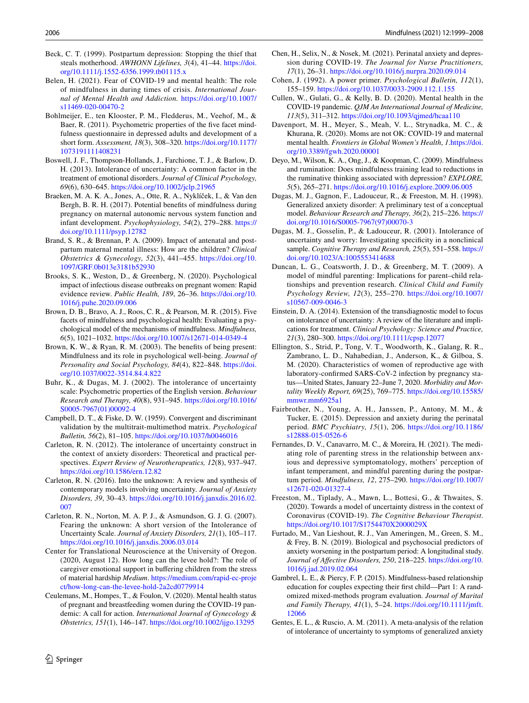- <span id="page-7-1"></span>Beck, C. T. (1999). Postpartum depression: Stopping the thief that steals motherhood. *AWHONN Lifelines, 3*(4), 41–44. [https://doi.](https://doi.org/10.1111/j.1552-6356.1999.tb01115.x) [org/10.1111/j.1552-6356.1999.tb01115.x](https://doi.org/10.1111/j.1552-6356.1999.tb01115.x)
- <span id="page-7-7"></span>Belen, H. (2021). Fear of COVID-19 and mental health: The role of mindfulness in during times of crisis. *International Journal of Mental Health and Addiction.* [https://doi.org/10.1007/](https://doi.org/10.1007/s11469-020-00470-2) [s11469-020-00470-2](https://doi.org/10.1007/s11469-020-00470-2)
- <span id="page-7-27"></span>Bohlmeijer, E., ten Klooster, P. M., Fledderus, M., Veehof, M., & Baer, R. (2011). Psychometric properties of the five facet mindfulness questionnaire in depressed adults and development of a short form. *Assessment, 18*(3), 308–320. [https://doi.org/10.1177/](https://doi.org/10.1177/1073191111408231) [1073191111408231](https://doi.org/10.1177/1073191111408231)
- <span id="page-7-18"></span>Boswell, J. F., Thompson-Hollands, J., Farchione, T. J., & Barlow, D. H. (2013). Intolerance of uncertainty: A common factor in the treatment of emotional disorders. *Journal of Clinical Psychology, 69*(6), 630–645.<https://doi.org/10.1002/jclp.21965>
- <span id="page-7-11"></span>Braeken, M. A. K. A., Jones, A., Otte, R. A., Nyklíček, I., & Van den Bergh, B. R. H. (2017). Potential benefts of mindfulness during pregnancy on maternal autonomic nervous system function and infant development. *Psychophysiology, 54*(2), 279–288. [https://](https://doi.org/10.1111/psyp.12782) [doi.org/10.1111/psyp.12782](https://doi.org/10.1111/psyp.12782)
- <span id="page-7-6"></span>Brand, S. R., & Brennan, P. A. (2009). Impact of antenatal and postpartum maternal mental illness: How are the children? *Clinical Obstetrics & Gynecology, 52*(3), 441–455. [https://doi.org/10.](https://doi.org/10.1097/GRF.0b013e3181b52930) [1097/GRF.0b013e3181b52930](https://doi.org/10.1097/GRF.0b013e3181b52930)
- <span id="page-7-14"></span>Brooks, S. K., Weston, D., & Greenberg, N. (2020). Psychological impact of infectious disease outbreaks on pregnant women: Rapid evidence review. *Public Health, 189*, 26–36. [https://doi.org/10.](https://doi.org/10.1016/j.puhe.2020.09.006) [1016/j.puhe.2020.09.006](https://doi.org/10.1016/j.puhe.2020.09.006)
- <span id="page-7-30"></span>Brown, D. B., Bravo, A. J., Roos, C. R., & Pearson, M. R. (2015). Five facets of mindfulness and psychological health: Evaluating a psychological model of the mechanisms of mindfulness. *Mindfulness, 6*(5), 1021–1032.<https://doi.org/10.1007/s12671-014-0349-4>
- <span id="page-7-28"></span>Brown, K. W., & Ryan, R. M. (2003). The benefts of being present: Mindfulness and its role in psychological well-being. *Journal of Personality and Social Psychology, 84*(4), 822–848. [https://doi.](https://doi.org/10.1037/0022-3514.84.4.822) [org/10.1037/0022-3514.84.4.822](https://doi.org/10.1037/0022-3514.84.4.822)
- <span id="page-7-24"></span>Buhr, K., & Dugas, M. J. (2002). The intolerance of uncertainty scale: Psychometric properties of the English version. *Behaviour Research and Therapy, 40*(8), 931–945. [https://doi.org/10.1016/](https://doi.org/10.1016/S0005-7967(01)00092-4) [S0005-7967\(01\)00092-4](https://doi.org/10.1016/S0005-7967(01)00092-4)
- <span id="page-7-31"></span>Campbell, D. T., & Fiske, D. W. (1959). Convergent and discriminant validation by the multitrait-multimethod matrix. *Psychological Bulletin, 56*(2), 81–105.<https://doi.org/10.1037/h0046016>
- <span id="page-7-15"></span>Carleton, R. N. (2012). The intolerance of uncertainty construct in the context of anxiety disorders: Theoretical and practical perspectives. *Expert Review of Neurotherapeutics, 12*(8), 937–947. <https://doi.org/10.1586/ern.12.82>
- <span id="page-7-19"></span>Carleton, R. N. (2016). Into the unknown: A review and synthesis of contemporary models involving uncertainty. *Journal of Anxiety Disorders, 39*, 30–43. [https://doi.org/10.1016/j.janxdis.2016.02.](https://doi.org/10.1016/j.janxdis.2016.02.007) [007](https://doi.org/10.1016/j.janxdis.2016.02.007)
- <span id="page-7-26"></span>Carleton, R. N., Norton, M. A. P. J., & Asmundson, G. J. G. (2007). Fearing the unknown: A short version of the Intolerance of Uncertainty Scale. *Journal of Anxiety Disorders, 21*(1), 105–117. <https://doi.org/10.1016/j.janxdis.2006.03.014>
- <span id="page-7-12"></span>Center for Translational Neuroscience at the University of Oregon. (2020, August 12). How long can the levee hold?: The role of caregiver emotional support in bufering children from the stress of material hardship *Medium*. [https://medium.com/rapid-ec-proje](https://medium.com/rapid-ec-project/how-long-can-the-levee-hold-2a2cd0779914) [ct/how-long-can-the-levee-hold-2a2cd0779914](https://medium.com/rapid-ec-project/how-long-can-the-levee-hold-2a2cd0779914)
- <span id="page-7-3"></span>Ceulemans, M., Hompes, T., & Foulon, V. (2020). Mental health status of pregnant and breastfeeding women during the COVID-19 pandemic: A call for action. *International Journal of Gynecology & Obstetrics, 151*(1), 146–147. <https://doi.org/10.1002/ijgo.13295>
- <span id="page-7-4"></span>Chen, H., Selix, N., & Nosek, M. (2021). Perinatal anxiety and depression during COVID-19. *The Journal for Nurse Practitioners, 17*(1), 26–31. <https://doi.org/10.1016/j.nurpra.2020.09.014>
- <span id="page-7-29"></span>Cohen, J. (1992). A power primer. *Psychological Bulletin, 112*(1), 155–159.<https://doi.org/10.1037/0033-2909.112.1.155>
- <span id="page-7-2"></span>Cullen, W., Gulati, G., & Kelly, B. D. (2020). Mental health in the COVID-19 pandemic. *QJM An International Journal of Medicine, 113*(5), 311–312. <https://doi.org/10.1093/qjmed/hcaa110>
- <span id="page-7-5"></span>Davenport, M. H., Meyer, S., Meah, V. L., Strynadka, M. C., & Khurana, R. (2020). Moms are not OK: COVID-19 and maternal mental health. *Frontiers in Global Women's Health*, *1*[.https://doi.](https://doi.org/10.3389/fgwh.2020.00001) [org/10.3389/fgwh.2020.00001](https://doi.org/10.3389/fgwh.2020.00001)
- <span id="page-7-25"></span>Deyo, M., Wilson, K. A., Ong, J., & Koopman, C. (2009). Mindfulness and rumination: Does mindfulness training lead to reductions in the ruminative thinking associated with depression? *EXPLORE, 5*(5), 265–271. <https://doi.org/10.1016/j.explore.2009.06.005>
- <span id="page-7-17"></span>Dugas, M. J., Gagnon, F., Ladouceur, R., & Freeston, M. H. (1998). Generalized anxiety disorder: A preliminary test of a conceptual model. *Behaviour Research and Therapy, 36*(2), 215–226. [https://](https://doi.org/10.1016/S0005-7967(97)00070-3) [doi.org/10.1016/S0005-7967\(97\)00070-3](https://doi.org/10.1016/S0005-7967(97)00070-3)
- <span id="page-7-16"></span>Dugas, M. J., Gosselin, P., & Ladouceur, R. (2001). Intolerance of uncertainty and worry: Investigating specifcity in a nonclinical sample. *Cognitive Therapy and Research, 25*(5), 551–558. [https://](https://doi.org/10.1023/A:1005553414688) [doi.org/10.1023/A:1005553414688](https://doi.org/10.1023/A:1005553414688)
- <span id="page-7-9"></span>Duncan, L. G., Coatsworth, J. D., & Greenberg, M. T. (2009). A model of mindful parenting: Implications for parent–child relationships and prevention research. *Clinical Child and Family Psychology Review, 12*(3), 255–270. [https://doi.org/10.1007/](https://doi.org/10.1007/s10567-009-0046-3) [s10567-009-0046-3](https://doi.org/10.1007/s10567-009-0046-3)
- <span id="page-7-20"></span>Einstein, D. A. (2014). Extension of the transdiagnostic model to focus on intolerance of uncertainty: A review of the literature and implications for treatment. *Clinical Psychology: Science and Practice, 21*(3), 280–300.<https://doi.org/10.1111/cpsp.12077>
- <span id="page-7-13"></span>Ellington, S., Strid, P., Tong, V. T., Woodworth, K., Galang, R. R., Zambrano, L. D., Nahabedian, J., Anderson, K., & Gilboa, S. M. (2020). Characteristics of women of reproductive age with laboratory-confrmed SARS-CoV-2 infection by pregnancy status—United States, January 22–June 7, 2020. *Morbidity and Mortality Weekly Report, 69*(25), 769–775. [https://doi.org/10.15585/](https://doi.org/10.15585/mmwr.mm6925a1) [mmwr.mm6925a1](https://doi.org/10.15585/mmwr.mm6925a1)
- <span id="page-7-0"></span>Fairbrother, N., Young, A. H., Janssen, P., Antony, M. M., & Tucker, E. (2015). Depression and anxiety during the perinatal period. *BMC Psychiatry, 15*(1), 206. [https://doi.org/10.1186/](https://doi.org/10.1186/s12888-015-0526-6) [s12888-015-0526-6](https://doi.org/10.1186/s12888-015-0526-6)
- <span id="page-7-10"></span>Fernandes, D. V., Canavarro, M. C., & Moreira, H. (2021). The mediating role of parenting stress in the relationship between anxious and depressive symptomatology, mothers' perception of infant temperament, and mindful parenting during the postpartum period. *Mindfulness, 12*, 275–290. [https://doi.org/10.1007/](https://doi.org/10.1007/s12671-020-01327-4) [s12671-020-01327-4](https://doi.org/10.1007/s12671-020-01327-4)
- <span id="page-7-21"></span>Freeston, M., Tiplady, A., Mawn, L., Bottesi, G., & Thwaites, S. (2020). Towards a model of uncertainty distress in the context of Coronavirus (COVID-19). *The Cognitive Behaviour Therapist*. <https://doi.org/10.1017/S1754470X2000029X>
- <span id="page-7-22"></span>Furtado, M., Van Lieshout, R. J., Van Ameringen, M., Green, S. M., & Frey, B. N. (2019). Biological and psychosocial predictors of anxiety worsening in the postpartum period: A longitudinal study. *Journal of Afective Disorders, 250*, 218–225. [https://doi.org/10.](https://doi.org/10.1016/j.jad.2019.02.064) [1016/j.jad.2019.02.064](https://doi.org/10.1016/j.jad.2019.02.064)
- <span id="page-7-8"></span>Gambrel, L. E., & Piercy, F. P. (2015). Mindfulness-based relationship education for couples expecting their frst child—Part 1: A randomized mixed-methods program evaluation. *Journal of Marital and Family Therapy, 41*(1), 5–24. [https://doi.org/10.1111/jmft.](https://doi.org/10.1111/jmft.12066) [12066](https://doi.org/10.1111/jmft.12066)
- <span id="page-7-23"></span>Gentes, E. L., & Ruscio, A. M. (2011). A meta-analysis of the relation of intolerance of uncertainty to symptoms of generalized anxiety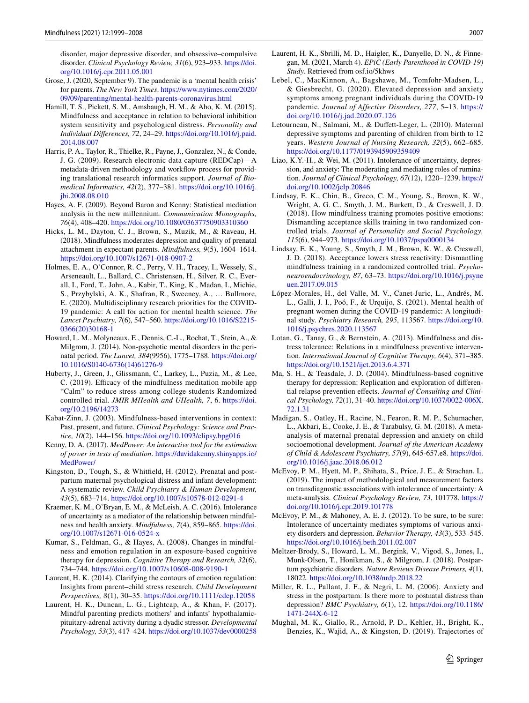disorder, major depressive disorder, and obsessive–compulsive disorder. *Clinical Psychology Review, 31*(6), 923–933. [https://doi.](https://doi.org/10.1016/j.cpr.2011.05.001) [org/10.1016/j.cpr.2011.05.001](https://doi.org/10.1016/j.cpr.2011.05.001)

- <span id="page-8-12"></span>Grose, J. (2020, September 9). The pandemic is a 'mental health crisis' for parents. *The New York Times*. [https://www.nytimes.com/2020/](https://www.nytimes.com/2020/09/09/parenting/mental-health-parents-coronavirus.html) [09/09/parenting/mental-health-parents-coronavirus.html](https://www.nytimes.com/2020/09/09/parenting/mental-health-parents-coronavirus.html)
- <span id="page-8-24"></span>Hamill, T. S., Pickett, S. M., Amsbaugh, H. M., & Aho, K. M. (2015). Mindfulness and acceptance in relation to behavioral inhibition system sensitivity and psychological distress. *Personality and Individual Diferences, 72*, 24–29. [https://doi.org/10.1016/j.paid.](https://doi.org/10.1016/j.paid.2014.08.007) [2014.08.007](https://doi.org/10.1016/j.paid.2014.08.007)
- <span id="page-8-20"></span>Harris, P. A., Taylor, R., Thielke, R., Payne, J., Gonzalez, N., & Conde, J. G. (2009). Research electronic data capture (REDCap)—A metadata-driven methodology and workfow process for providing translational research informatics support. *Journal of Biomedical Informatics, 42*(2), 377–381. [https://doi.org/10.1016/j.](https://doi.org/10.1016/j.jbi.2008.08.010) [jbi.2008.08.010](https://doi.org/10.1016/j.jbi.2008.08.010)
- <span id="page-8-21"></span>Hayes, A. F. (2009). Beyond Baron and Kenny: Statistical mediation analysis in the new millennium. *Communication Monographs, 76*(4), 408–420.<https://doi.org/10.1080/03637750903310360>
- <span id="page-8-10"></span>Hicks, L. M., Dayton, C. J., Brown, S., Muzik, M., & Raveau, H. (2018). Mindfulness moderates depression and quality of prenatal attachment in expectant parents. *Mindfulness, 9*(5), 1604–1614. <https://doi.org/10.1007/s12671-018-0907-2>
- <span id="page-8-13"></span>Holmes, E. A., O'Connor, R. C., Perry, V. H., Tracey, I., Wessely, S., Arseneault, L., Ballard, C., Christensen, H., Silver, R. C., Everall, I., Ford, T., John, A., Kabir, T., King, K., Madan, I., Michie, S., Przybylski, A. K., Shafran, R., Sweeney, A., … Bullmore, E. (2020). Multidisciplinary research priorities for the COVID-19 pandemic: A call for action for mental health science. *The Lancet Psychiatry, 7*(6), 547–560. [https://doi.org/10.1016/S2215-](https://doi.org/10.1016/S2215-0366(20)30168-1) [0366\(20\)30168-1](https://doi.org/10.1016/S2215-0366(20)30168-1)
- <span id="page-8-7"></span>Howard, L. M., Molyneaux, E., Dennis, C.-L., Rochat, T., Stein, A., & Milgrom, J. (2014). Non-psychotic mental disorders in the perinatal period. *The Lancet, 384*(9956), 1775–1788. [https://doi.org/](https://doi.org/10.1016/S0140-6736(14)61276-9) [10.1016/S0140-6736\(14\)61276-9](https://doi.org/10.1016/S0140-6736(14)61276-9)
- <span id="page-8-29"></span>Huberty, J., Green, J., Glissmann, C., Larkey, L., Puzia, M., & Lee, C. (2019). Efficacy of the mindfulness meditation mobile app "Calm" to reduce stress among college students Randomized controlled trial. *JMIR MHealth and UHealth, 7*, 6. [https://doi.](https://doi.org/10.2196/14273) [org/10.2196/14273](https://doi.org/10.2196/14273)
- <span id="page-8-9"></span>Kabat-Zinn, J. (2003). Mindfulness-based interventions in context: Past, present, and future. *Clinical Psychology: Science and Practice, 10*(2), 144–156. <https://doi.org/10.1093/clipsy.bpg016>
- <span id="page-8-23"></span>Kenny, D. A. (2017). *MedPower: An interactive tool for the estimation of power in tests of mediation*. [https://davidakenny.shinyapps.io/](https://davidakenny.shinyapps.io/MedPower/) [MedPower/](https://davidakenny.shinyapps.io/MedPower/)
- <span id="page-8-8"></span>Kingston, D., Tough, S., & Whitfeld, H. (2012). Prenatal and postpartum maternal psychological distress and infant development: A systematic review. *Child Psychiatry & Human Development, 43*(5), 683–714.<https://doi.org/10.1007/s10578-012-0291-4>
- <span id="page-8-17"></span>Kraemer, K. M., O'Bryan, E. M., & McLeish, A. C. (2016). Intolerance of uncertainty as a mediator of the relationship between mindfulness and health anxiety. *Mindfulness, 7*(4), 859–865. [https://doi.](https://doi.org/10.1007/s12671-016-0524-x) [org/10.1007/s12671-016-0524-x](https://doi.org/10.1007/s12671-016-0524-x)
- <span id="page-8-22"></span>Kumar, S., Feldman, G., & Hayes, A. (2008). Changes in mindfulness and emotion regulation in an exposure-based cognitive therapy for depression. *Cognitive Therapy and Research, 32*(6), 734–744.<https://doi.org/10.1007/s10608-008-9190-1>
- <span id="page-8-27"></span>Laurent, H. K. (2014). Clarifying the contours of emotion regulation: Insights from parent–child stress research. *Child Development Perspectives, 8*(1), 30–35.<https://doi.org/10.1111/cdep.12058>
- <span id="page-8-11"></span>Laurent, H. K., Duncan, L. G., Lightcap, A., & Khan, F. (2017). Mindful parenting predicts mothers' and infants' hypothalamicpituitary-adrenal activity during a dyadic stressor. *Developmental Psychology, 53*(3), 417–424.<https://doi.org/10.1037/dev0000258>
- <span id="page-8-19"></span>Laurent, H. K., Sbrilli, M. D., Haigler, K., Danyelle, D. N., & Finnegan, M. (2021, March 4). *EPiC (Early Parenthood in COVID-19) Study*. Retrieved from osf.io/5khws
- <span id="page-8-4"></span>Lebel, C., MacKinnon, A., Bagshawe, M., Tomfohr-Madsen, L., & Giesbrecht, G. (2020). Elevated depression and anxiety symptoms among pregnant individuals during the COVID-19 pandemic. *Journal of Affective Disorders, 277*, 5–13. [https://](https://doi.org/10.1016/j.jad.2020.07.126) [doi.org/10.1016/j.jad.2020.07.126](https://doi.org/10.1016/j.jad.2020.07.126)
- <span id="page-8-1"></span>Letourneau, N., Salmani, M., & Dufett-Leger, L. (2010). Maternal depressive symptoms and parenting of children from birth to 12 years. *Western Journal of Nursing Research, 32*(5), 662–685. <https://doi.org/10.1177/0193945909359409>
- <span id="page-8-15"></span>Liao, K.Y.-H., & Wei, M. (2011). Intolerance of uncertainty, depression, and anxiety: The moderating and mediating roles of rumination. *Journal of Clinical Psychology, 67*(12), 1220–1239. [https://](https://doi.org/10.1002/jclp.20846) [doi.org/10.1002/jclp.20846](https://doi.org/10.1002/jclp.20846)
- <span id="page-8-25"></span>Lindsay, E. K., Chin, B., Greco, C. M., Young, S., Brown, K. W., Wright, A. G. C., Smyth, J. M., Burkett, D., & Creswell, J. D. (2018). How mindfulness training promotes positive emotions: Dismantling acceptance skills training in two randomized controlled trials. *Journal of Personality and Social Psychology, 115*(6), 944–973. <https://doi.org/10.1037/pspa0000134>
- <span id="page-8-26"></span>Lindsay, E. K., Young, S., Smyth, J. M., Brown, K. W., & Creswell, J. D. (2018). Acceptance lowers stress reactivity: Dismantling mindfulness training in a randomized controlled trial. *Psychoneuroendocrinology, 87*, 63–73. [https://doi.org/10.1016/j.psyne](https://doi.org/10.1016/j.psyneuen.2017.09.015) [uen.2017.09.015](https://doi.org/10.1016/j.psyneuen.2017.09.015)
- <span id="page-8-5"></span>López-Morales, H., del Valle, M. V., Canet-Juric, L., Andrés, M. L., Galli, J. I., Poó, F., & Urquijo, S. (2021). Mental health of pregnant women during the COVID-19 pandemic: A longitudinal study. *Psychiatry Research, 295*, 113567. [https://doi.org/10.](https://doi.org/10.1016/j.psychres.2020.113567) [1016/j.psychres.2020.113567](https://doi.org/10.1016/j.psychres.2020.113567)
- <span id="page-8-18"></span>Lotan, G., Tanay, G., & Bernstein, A. (2013). Mindfulness and distress tolerance: Relations in a mindfulness preventive intervention. *International Journal of Cognitive Therapy, 6*(4), 371–385. <https://doi.org/10.1521/ijct.2013.6.4.371>
- <span id="page-8-28"></span>Ma, S. H., & Teasdale, J. D. (2004). Mindfulness-based cognitive therapy for depression: Replication and exploration of diferential relapse prevention efects. *Journal of Consulting and Clinical Psychology, 72*(1), 31–40. [https://doi.org/10.1037/0022-006X.](https://doi.org/10.1037/0022-006X.72.1.31) [72.1.31](https://doi.org/10.1037/0022-006X.72.1.31)
- <span id="page-8-2"></span>Madigan, S., Oatley, H., Racine, N., Fearon, R. M. P., Schumacher, L., Akbari, E., Cooke, J. E., & Tarabulsy, G. M. (2018). A metaanalysis of maternal prenatal depression and anxiety on child socioemotional development. *Journal of the American Academy of Child & Adolescent Psychiatry, 57*(9), 645-657.e8. [https://doi.](https://doi.org/10.1016/j.jaac.2018.06.012) [org/10.1016/j.jaac.2018.06.012](https://doi.org/10.1016/j.jaac.2018.06.012)
- <span id="page-8-16"></span>McEvoy, P. M., Hyett, M. P., Shihata, S., Price, J. E., & Strachan, L. (2019). The impact of methodological and measurement factors on transdiagnostic associations with intolerance of uncertainty: A meta-analysis. *Clinical Psychology Review, 73*, 101778. [https://](https://doi.org/10.1016/j.cpr.2019.101778) [doi.org/10.1016/j.cpr.2019.101778](https://doi.org/10.1016/j.cpr.2019.101778)
- <span id="page-8-14"></span>McEvoy, P. M., & Mahoney, A. E. J. (2012). To be sure, to be sure: Intolerance of uncertainty mediates symptoms of various anxiety disorders and depression. *Behavior Therapy, 43*(3), 533–545. <https://doi.org/10.1016/j.beth.2011.02.007>
- <span id="page-8-6"></span>Meltzer-Brody, S., Howard, L. M., Bergink, V., Vigod, S., Jones, I., Munk-Olsen, T., Honikman, S., & Milgrom, J. (2018). Postpartum psychiatric disorders. *Nature Reviews Disease Primers, 4*(1), 18022. <https://doi.org/10.1038/nrdp.2018.22>
- <span id="page-8-0"></span>Miller, R. L., Pallant, J. F., & Negri, L. M. (2006). Anxiety and stress in the postpartum: Is there more to postnatal distress than depression? *BMC Psychiatry, 6*(1), 12. [https://doi.org/10.1186/](https://doi.org/10.1186/1471-244X-6-12) [1471-244X-6-12](https://doi.org/10.1186/1471-244X-6-12)
- <span id="page-8-3"></span>Mughal, M. K., Giallo, R., Arnold, P. D., Kehler, H., Bright, K., Benzies, K., Wajid, A., & Kingston, D. (2019). Trajectories of